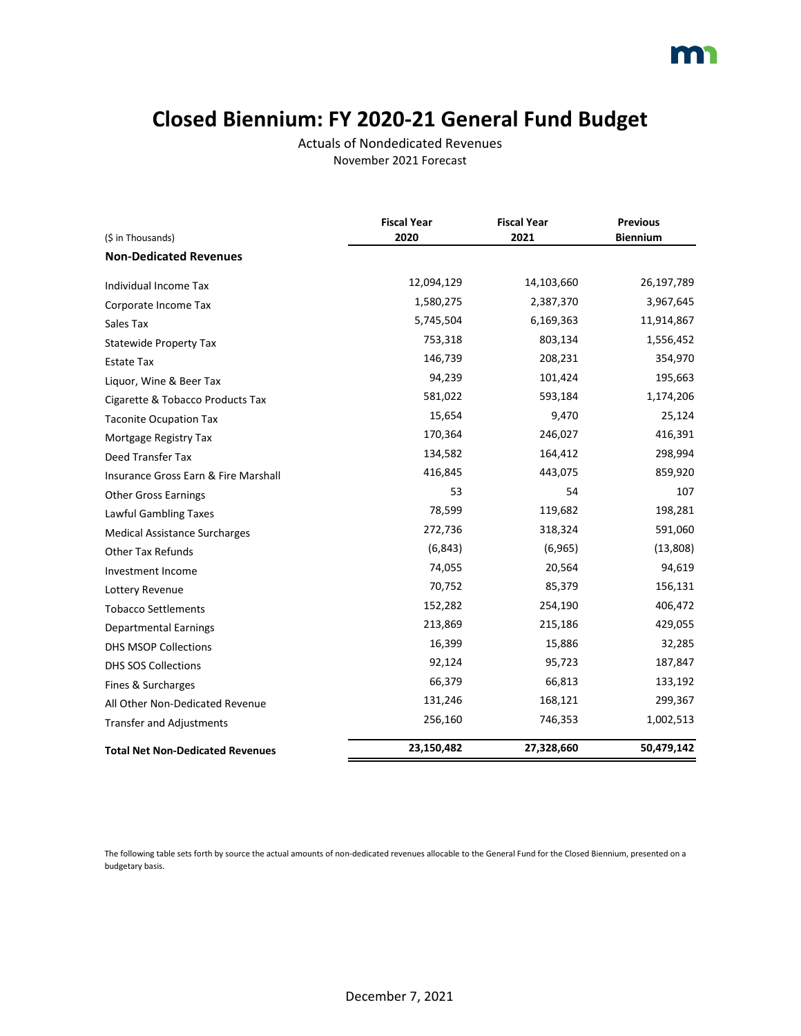### **Closed Biennium: FY 2020-21 General Fund Budget**

Actuals of Nondedicated Revenues November 2021 Forecast

|                                         | <b>Fiscal Year</b> | <b>Fiscal Year</b> | <b>Previous</b> |
|-----------------------------------------|--------------------|--------------------|-----------------|
| (\$ in Thousands)                       | 2020               | 2021               | <b>Biennium</b> |
| <b>Non-Dedicated Revenues</b>           |                    |                    |                 |
| Individual Income Tax                   | 12,094,129         | 14,103,660         | 26,197,789      |
| Corporate Income Tax                    | 1,580,275          | 2,387,370          | 3,967,645       |
| Sales Tax                               | 5,745,504          | 6,169,363          | 11,914,867      |
| <b>Statewide Property Tax</b>           | 753,318            | 803,134            | 1,556,452       |
| <b>Estate Tax</b>                       | 146,739            | 208,231            | 354,970         |
| Liguor, Wine & Beer Tax                 | 94,239             | 101,424            | 195,663         |
| Cigarette & Tobacco Products Tax        | 581,022            | 593,184            | 1,174,206       |
| <b>Taconite Ocupation Tax</b>           | 15,654             | 9,470              | 25,124          |
| Mortgage Registry Tax                   | 170,364            | 246,027            | 416,391         |
| Deed Transfer Tax                       | 134,582            | 164,412            | 298,994         |
| Insurance Gross Earn & Fire Marshall    | 416,845            | 443,075            | 859,920         |
| <b>Other Gross Earnings</b>             | 53                 | 54                 | 107             |
| Lawful Gambling Taxes                   | 78,599             | 119,682            | 198,281         |
| <b>Medical Assistance Surcharges</b>    | 272,736            | 318,324            | 591,060         |
| <b>Other Tax Refunds</b>                | (6, 843)           | (6,965)            | (13,808)        |
| Investment Income                       | 74,055             | 20,564             | 94,619          |
| Lottery Revenue                         | 70,752             | 85,379             | 156,131         |
| <b>Tobacco Settlements</b>              | 152,282            | 254,190            | 406,472         |
| <b>Departmental Earnings</b>            | 213,869            | 215,186            | 429,055         |
| <b>DHS MSOP Collections</b>             | 16,399             | 15,886             | 32,285          |
| <b>DHS SOS Collections</b>              | 92,124             | 95,723             | 187,847         |
| Fines & Surcharges                      | 66,379             | 66,813             | 133,192         |
| All Other Non-Dedicated Revenue         | 131,246            | 168,121            | 299,367         |
| <b>Transfer and Adjustments</b>         | 256,160            | 746,353            | 1,002,513       |
| <b>Total Net Non-Dedicated Revenues</b> | 23,150,482         | 27,328,660         | 50,479,142      |

The following table sets forth by source the actual amounts of non-dedicated revenues allocable to the General Fund for the Closed Biennium, presented on a budgetary basis.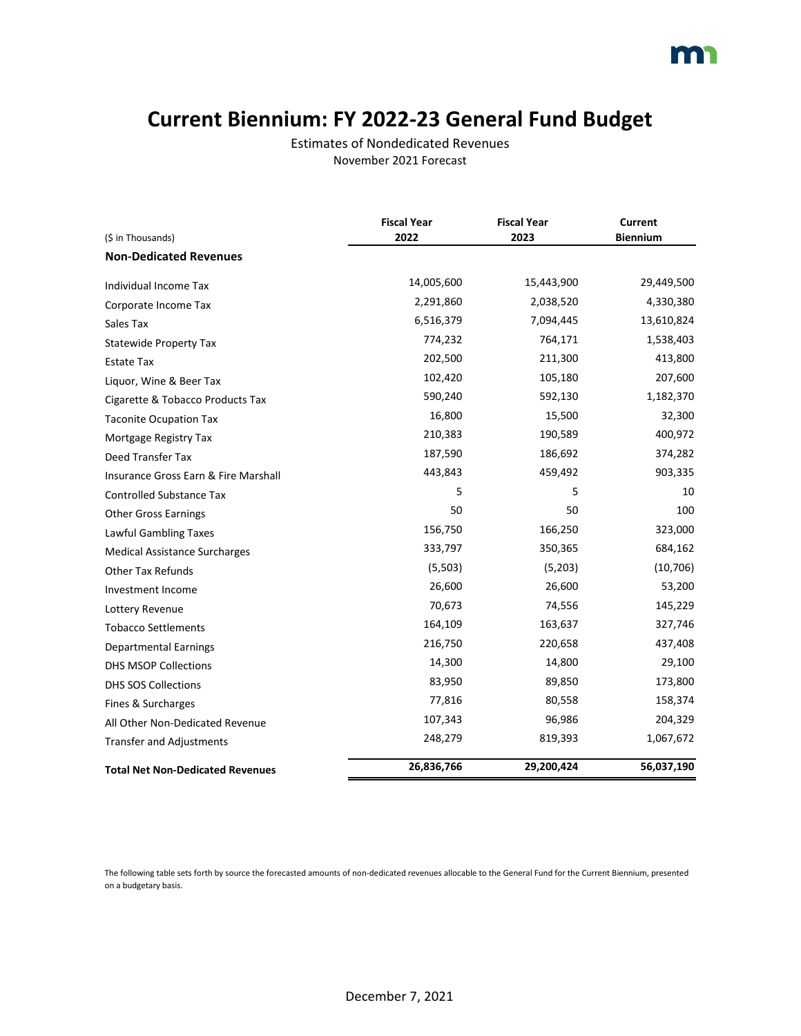### **Current Biennium: FY 2022-23 General Fund Budget**

Estimates of Nondedicated Revenues November 2021 Forecast

|                                         | <b>Fiscal Year</b> | <b>Fiscal Year</b> | Current         |
|-----------------------------------------|--------------------|--------------------|-----------------|
| (\$ in Thousands)                       | 2022               | 2023               | <b>Biennium</b> |
| <b>Non-Dedicated Revenues</b>           |                    |                    |                 |
| Individual Income Tax                   | 14,005,600         | 15,443,900         | 29,449,500      |
| Corporate Income Tax                    | 2,291,860          | 2,038,520          | 4,330,380       |
| Sales Tax                               | 6,516,379          | 7,094,445          | 13,610,824      |
| <b>Statewide Property Tax</b>           | 774,232            | 764,171            | 1,538,403       |
| <b>Estate Tax</b>                       | 202,500            | 211,300            | 413,800         |
| Liquor, Wine & Beer Tax                 | 102,420            | 105,180            | 207,600         |
| Cigarette & Tobacco Products Tax        | 590,240            | 592,130            | 1,182,370       |
| <b>Taconite Ocupation Tax</b>           | 16,800             | 15,500             | 32,300          |
| Mortgage Registry Tax                   | 210,383            | 190,589            | 400,972         |
| Deed Transfer Tax                       | 187,590            | 186,692            | 374,282         |
| Insurance Gross Earn & Fire Marshall    | 443,843            | 459,492            | 903,335         |
| <b>Controlled Substance Tax</b>         | 5                  | 5                  | 10              |
| <b>Other Gross Earnings</b>             | 50                 | 50                 | 100             |
| Lawful Gambling Taxes                   | 156,750            | 166,250            | 323,000         |
| <b>Medical Assistance Surcharges</b>    | 333,797            | 350,365            | 684,162         |
| <b>Other Tax Refunds</b>                | (5,503)            | (5,203)            | (10, 706)       |
| Investment Income                       | 26,600             | 26,600             | 53,200          |
| Lottery Revenue                         | 70,673             | 74,556             | 145,229         |
| <b>Tobacco Settlements</b>              | 164,109            | 163,637            | 327,746         |
| <b>Departmental Earnings</b>            | 216,750            | 220,658            | 437,408         |
| <b>DHS MSOP Collections</b>             | 14,300             | 14,800             | 29,100          |
| <b>DHS SOS Collections</b>              | 83,950             | 89,850             | 173,800         |
| Fines & Surcharges                      | 77,816             | 80,558             | 158,374         |
| All Other Non-Dedicated Revenue         | 107,343            | 96,986             | 204,329         |
| <b>Transfer and Adjustments</b>         | 248,279            | 819,393            | 1,067,672       |
| <b>Total Net Non-Dedicated Revenues</b> | 26,836,766         | 29,200,424         | 56,037,190      |

The following table sets forth by source the forecasted amounts of non-dedicated revenues allocable to the General Fund for the Current Biennium, presented on a budgetary basis.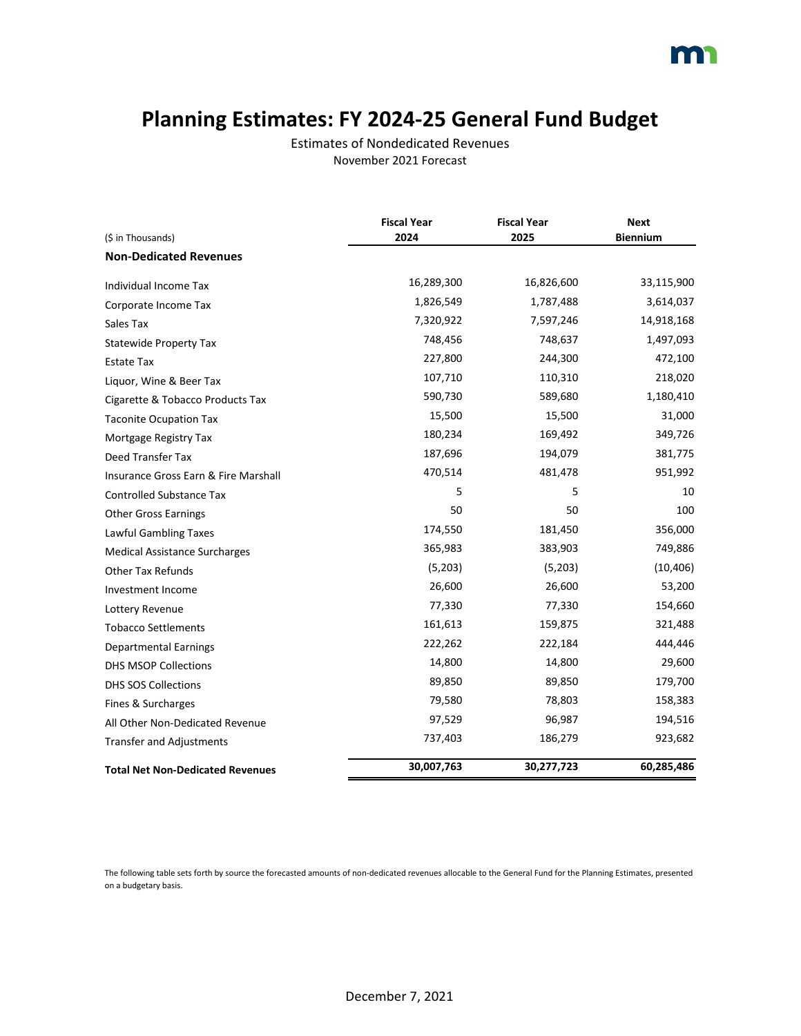### **Planning Estimates: FY 2024-25 General Fund Budget**

Estimates of Nondedicated Revenues November 2021 Forecast

|                                         | <b>Fiscal Year</b> | <b>Fiscal Year</b> | <b>Next</b>     |
|-----------------------------------------|--------------------|--------------------|-----------------|
| (\$ in Thousands)                       | 2024               | 2025               | <b>Biennium</b> |
| <b>Non-Dedicated Revenues</b>           |                    |                    |                 |
| Individual Income Tax                   | 16,289,300         | 16,826,600         | 33,115,900      |
| Corporate Income Tax                    | 1,826,549          | 1,787,488          | 3,614,037       |
| Sales Tax                               | 7,320,922          | 7,597,246          | 14,918,168      |
| <b>Statewide Property Tax</b>           | 748,456            | 748,637            | 1,497,093       |
| Estate Tax                              | 227,800            | 244,300            | 472,100         |
| Liquor, Wine & Beer Tax                 | 107,710            | 110,310            | 218,020         |
| Cigarette & Tobacco Products Tax        | 590,730            | 589,680            | 1,180,410       |
| <b>Taconite Ocupation Tax</b>           | 15,500             | 15,500             | 31,000          |
| Mortgage Registry Tax                   | 180,234            | 169,492            | 349,726         |
| Deed Transfer Tax                       | 187,696            | 194,079            | 381,775         |
| Insurance Gross Earn & Fire Marshall    | 470,514            | 481,478            | 951,992         |
| <b>Controlled Substance Tax</b>         | 5                  | 5                  | 10              |
| <b>Other Gross Earnings</b>             | 50                 | 50                 | 100             |
| Lawful Gambling Taxes                   | 174,550            | 181,450            | 356,000         |
| <b>Medical Assistance Surcharges</b>    | 365,983            | 383,903            | 749,886         |
| <b>Other Tax Refunds</b>                | (5,203)            | (5,203)            | (10, 406)       |
| Investment Income                       | 26,600             | 26,600             | 53,200          |
| Lottery Revenue                         | 77,330             | 77,330             | 154,660         |
| <b>Tobacco Settlements</b>              | 161,613            | 159,875            | 321,488         |
| <b>Departmental Earnings</b>            | 222,262            | 222,184            | 444,446         |
| <b>DHS MSOP Collections</b>             | 14,800             | 14,800             | 29,600          |
| <b>DHS SOS Collections</b>              | 89,850             | 89,850             | 179,700         |
| Fines & Surcharges                      | 79,580             | 78,803             | 158,383         |
| All Other Non-Dedicated Revenue         | 97,529             | 96,987             | 194,516         |
| <b>Transfer and Adjustments</b>         | 737,403            | 186,279            | 923,682         |
| <b>Total Net Non-Dedicated Revenues</b> | 30,007,763         | 30,277,723         | 60,285,486      |

The following table sets forth by source the forecasted amounts of non-dedicated revenues allocable to the General Fund for the Planning Estimates, presented on a budgetary basis.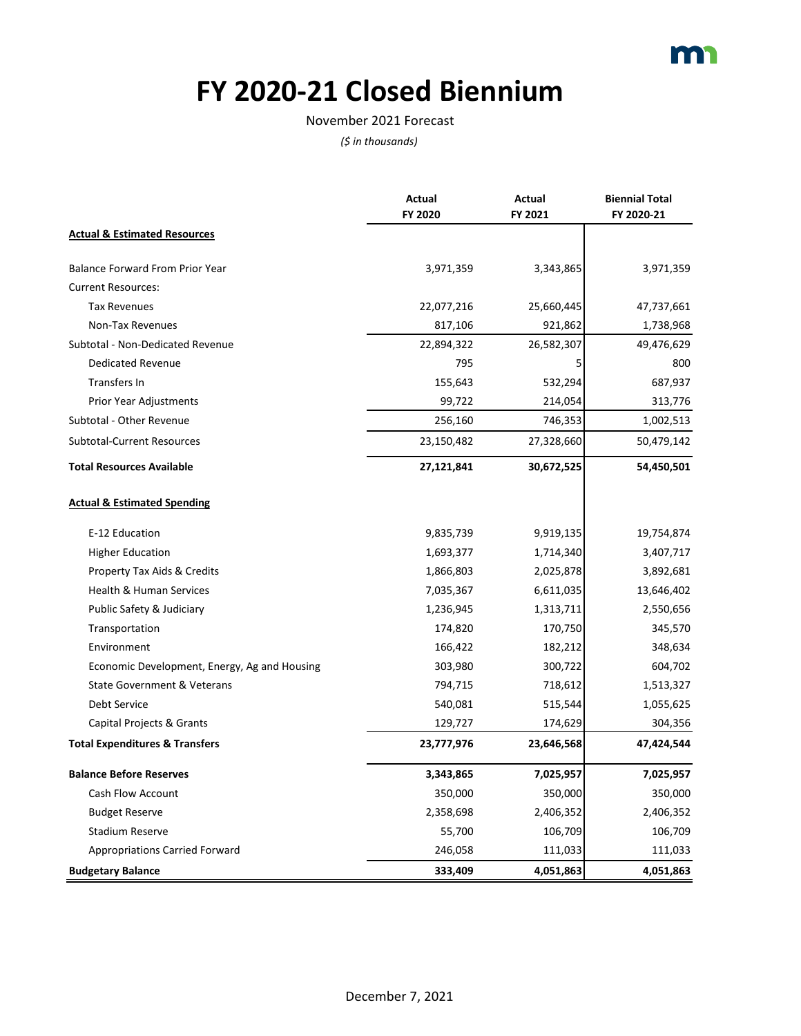

## **FY 2020-21 Closed Biennium**

#### November 2021 Forecast

|                                              | Actual<br>FY 2020 | Actual<br>FY 2021 | <b>Biennial Total</b><br>FY 2020-21 |
|----------------------------------------------|-------------------|-------------------|-------------------------------------|
| <b>Actual &amp; Estimated Resources</b>      |                   |                   |                                     |
| <b>Balance Forward From Prior Year</b>       | 3,971,359         | 3,343,865         | 3,971,359                           |
| <b>Current Resources:</b>                    |                   |                   |                                     |
| <b>Tax Revenues</b>                          | 22,077,216        | 25,660,445        | 47,737,661                          |
| Non-Tax Revenues                             | 817,106           | 921,862           | 1,738,968                           |
| Subtotal - Non-Dedicated Revenue             | 22,894,322        | 26,582,307        | 49,476,629                          |
| <b>Dedicated Revenue</b>                     | 795               | 5                 | 800                                 |
| Transfers In                                 | 155,643           | 532,294           | 687,937                             |
| Prior Year Adjustments                       | 99,722            | 214,054           | 313,776                             |
| Subtotal - Other Revenue                     | 256,160           | 746,353           | 1,002,513                           |
| <b>Subtotal-Current Resources</b>            | 23,150,482        | 27,328,660        | 50,479,142                          |
| <b>Total Resources Available</b>             | 27,121,841        | 30,672,525        | 54,450,501                          |
| <b>Actual &amp; Estimated Spending</b>       |                   |                   |                                     |
| E-12 Education                               | 9,835,739         | 9,919,135         | 19,754,874                          |
| <b>Higher Education</b>                      | 1,693,377         | 1,714,340         | 3,407,717                           |
| Property Tax Aids & Credits                  | 1,866,803         | 2,025,878         | 3,892,681                           |
| <b>Health &amp; Human Services</b>           | 7,035,367         | 6,611,035         | 13,646,402                          |
| Public Safety & Judiciary                    | 1,236,945         | 1,313,711         | 2,550,656                           |
| Transportation                               | 174,820           | 170,750           | 345,570                             |
| Environment                                  | 166,422           | 182,212           | 348,634                             |
| Economic Development, Energy, Ag and Housing | 303,980           | 300,722           | 604,702                             |
| <b>State Government &amp; Veterans</b>       | 794,715           | 718,612           | 1,513,327                           |
| Debt Service                                 | 540,081           | 515,544           | 1,055,625                           |
| Capital Projects & Grants                    | 129,727           | 174,629           | 304,356                             |
| <b>Total Expenditures &amp; Transfers</b>    | 23,777,976        | 23,646,568        | 47,424,544                          |
| <b>Balance Before Reserves</b>               | 3,343,865         | 7,025,957         | 7,025,957                           |
| <b>Cash Flow Account</b>                     | 350,000           | 350,000           | 350,000                             |
| <b>Budget Reserve</b>                        | 2,358,698         | 2,406,352         | 2,406,352                           |
| <b>Stadium Reserve</b>                       | 55,700            | 106,709           | 106,709                             |
| <b>Appropriations Carried Forward</b>        | 246,058           | 111,033           | 111,033                             |
| <b>Budgetary Balance</b>                     | 333,409           | 4,051,863         | 4,051,863                           |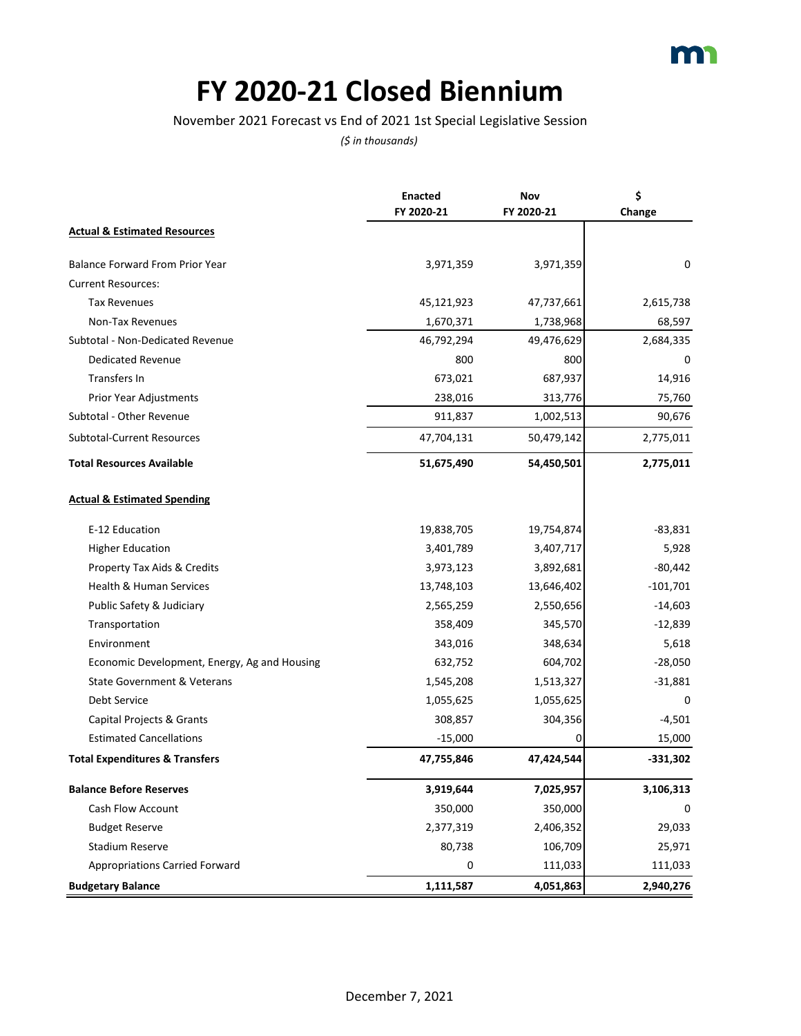## **FY 2020-21 Closed Biennium**

#### November 2021 Forecast vs End of 2021 1st Special Legislative Session

|                                              | <b>Enacted</b><br>FY 2020-21 | Nov<br>FY 2020-21 | \$<br>Change |
|----------------------------------------------|------------------------------|-------------------|--------------|
| <b>Actual &amp; Estimated Resources</b>      |                              |                   |              |
| Balance Forward From Prior Year              | 3,971,359                    | 3,971,359         | 0            |
| <b>Current Resources:</b>                    |                              |                   |              |
| <b>Tax Revenues</b>                          | 45,121,923                   | 47,737,661        | 2,615,738    |
| Non-Tax Revenues                             | 1,670,371                    | 1,738,968         | 68,597       |
| Subtotal - Non-Dedicated Revenue             | 46,792,294                   | 49,476,629        | 2,684,335    |
| <b>Dedicated Revenue</b>                     | 800                          | 800               | 0            |
| Transfers In                                 | 673,021                      | 687,937           | 14,916       |
| Prior Year Adjustments                       | 238,016                      | 313,776           | 75,760       |
| Subtotal - Other Revenue                     | 911,837                      | 1,002,513         | 90,676       |
| <b>Subtotal-Current Resources</b>            | 47,704,131                   | 50,479,142        | 2,775,011    |
| <b>Total Resources Available</b>             | 51,675,490                   | 54,450,501        | 2,775,011    |
| <b>Actual &amp; Estimated Spending</b>       |                              |                   |              |
| E-12 Education                               | 19,838,705                   | 19,754,874        | $-83,831$    |
| <b>Higher Education</b>                      | 3,401,789                    | 3,407,717         | 5,928        |
| Property Tax Aids & Credits                  | 3,973,123                    | 3,892,681         | $-80,442$    |
| Health & Human Services                      | 13,748,103                   | 13,646,402        | $-101,701$   |
| Public Safety & Judiciary                    | 2,565,259                    | 2,550,656         | $-14,603$    |
| Transportation                               | 358,409                      | 345,570           | $-12,839$    |
| Environment                                  | 343,016                      | 348,634           | 5,618        |
| Economic Development, Energy, Ag and Housing | 632,752                      | 604,702           | $-28,050$    |
| State Government & Veterans                  | 1,545,208                    | 1,513,327         | $-31,881$    |
| Debt Service                                 | 1,055,625                    | 1,055,625         | $\Omega$     |
| Capital Projects & Grants                    | 308,857                      | 304,356           | $-4,501$     |
| <b>Estimated Cancellations</b>               | $-15,000$                    | 0                 | 15,000       |
| <b>Total Expenditures &amp; Transfers</b>    | 47,755,846                   | 47,424,544        | $-331,302$   |
| <b>Balance Before Reserves</b>               | 3,919,644                    | 7,025,957         | 3,106,313    |
| <b>Cash Flow Account</b>                     | 350,000                      | 350,000           | 0            |
| <b>Budget Reserve</b>                        | 2,377,319                    | 2,406,352         | 29,033       |
| Stadium Reserve                              | 80,738                       | 106,709           | 25,971       |
| <b>Appropriations Carried Forward</b>        | 0                            | 111,033           | 111,033      |
| <b>Budgetary Balance</b>                     | 1,111,587                    | 4,051,863         | 2,940,276    |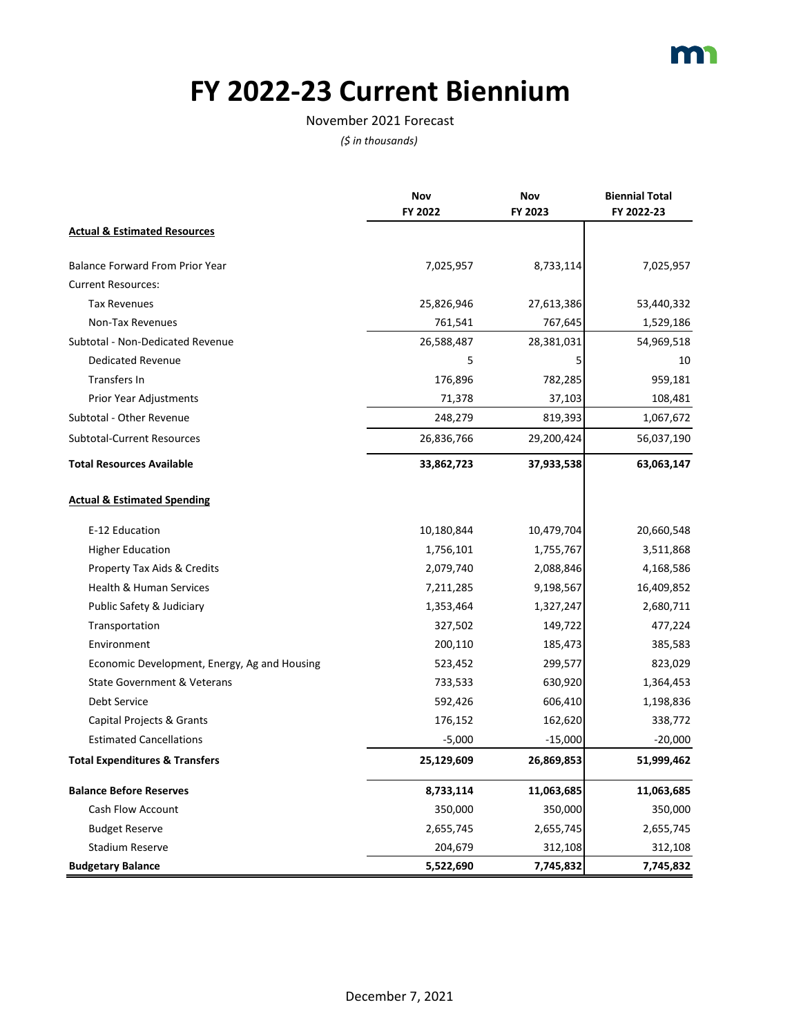

## **FY 2022-23 Current Biennium**

#### November 2021 Forecast

|                                              | Nov        | Nov        | <b>Biennial Total</b> |
|----------------------------------------------|------------|------------|-----------------------|
|                                              | FY 2022    | FY 2023    | FY 2022-23            |
| <b>Actual &amp; Estimated Resources</b>      |            |            |                       |
| <b>Balance Forward From Prior Year</b>       | 7,025,957  | 8,733,114  | 7,025,957             |
| <b>Current Resources:</b>                    |            |            |                       |
| <b>Tax Revenues</b>                          | 25,826,946 | 27,613,386 | 53,440,332            |
| Non-Tax Revenues                             | 761,541    | 767,645    | 1,529,186             |
| Subtotal - Non-Dedicated Revenue             | 26,588,487 | 28,381,031 | 54,969,518            |
| <b>Dedicated Revenue</b>                     | 5          | 5          | 10                    |
| Transfers In                                 | 176,896    | 782,285    | 959,181               |
| Prior Year Adjustments                       | 71,378     | 37,103     | 108,481               |
| Subtotal - Other Revenue                     | 248,279    | 819,393    | 1,067,672             |
| <b>Subtotal-Current Resources</b>            | 26,836,766 | 29,200,424 | 56,037,190            |
| <b>Total Resources Available</b>             | 33,862,723 | 37,933,538 | 63,063,147            |
| <b>Actual &amp; Estimated Spending</b>       |            |            |                       |
| E-12 Education                               | 10,180,844 | 10,479,704 | 20,660,548            |
| <b>Higher Education</b>                      | 1,756,101  | 1,755,767  | 3,511,868             |
| Property Tax Aids & Credits                  | 2,079,740  | 2,088,846  | 4,168,586             |
| Health & Human Services                      | 7,211,285  | 9,198,567  | 16,409,852            |
| Public Safety & Judiciary                    | 1,353,464  | 1,327,247  | 2,680,711             |
| Transportation                               | 327,502    | 149,722    | 477,224               |
| Environment                                  | 200,110    | 185,473    | 385,583               |
| Economic Development, Energy, Ag and Housing | 523,452    | 299,577    | 823,029               |
| <b>State Government &amp; Veterans</b>       | 733,533    | 630,920    | 1,364,453             |
| Debt Service                                 | 592,426    | 606,410    | 1,198,836             |
| Capital Projects & Grants                    | 176,152    | 162,620    | 338,772               |
| <b>Estimated Cancellations</b>               | $-5,000$   | $-15,000$  | -20,000               |
| <b>Total Expenditures &amp; Transfers</b>    | 25,129,609 | 26,869,853 | 51,999,462            |
| <b>Balance Before Reserves</b>               | 8,733,114  | 11,063,685 | 11,063,685            |
| Cash Flow Account                            | 350,000    | 350,000    | 350,000               |
| <b>Budget Reserve</b>                        | 2,655,745  | 2,655,745  | 2,655,745             |
| <b>Stadium Reserve</b>                       | 204,679    | 312,108    | 312,108               |
| <b>Budgetary Balance</b>                     | 5,522,690  | 7,745,832  | 7,745,832             |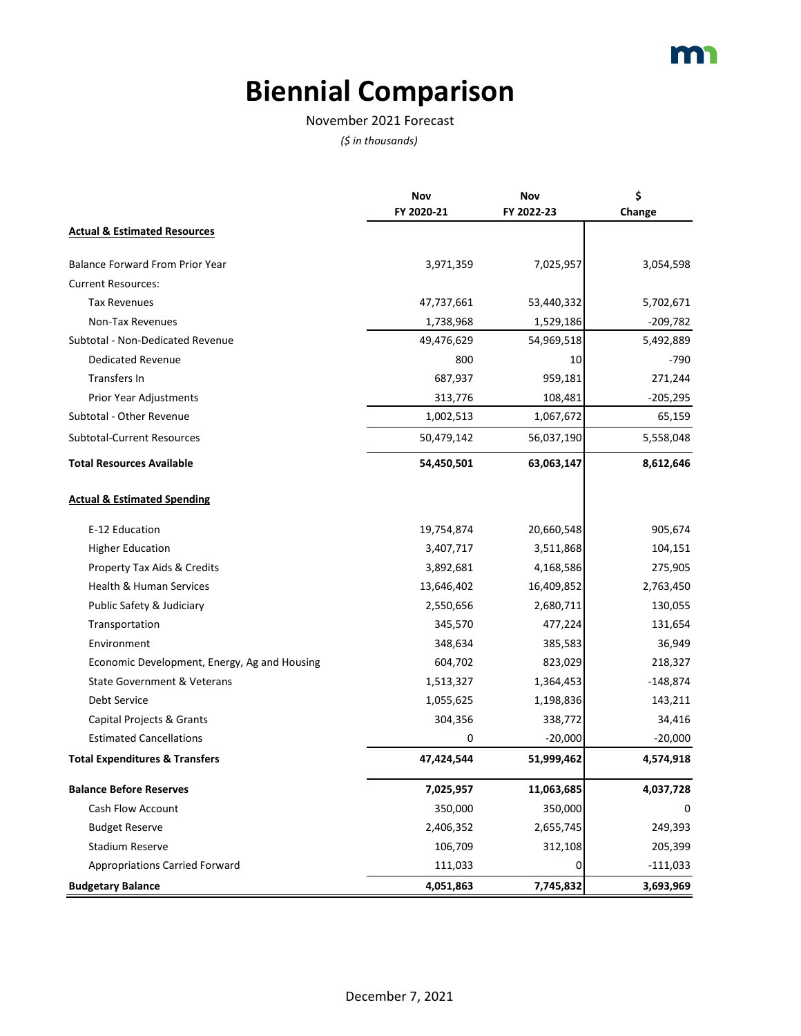# **Biennial Comparison**

#### November 2021 Forecast

|                                              | Nov<br>FY 2020-21 | Nov<br>FY 2022-23 | \$<br>Change |
|----------------------------------------------|-------------------|-------------------|--------------|
| <b>Actual &amp; Estimated Resources</b>      |                   |                   |              |
| <b>Balance Forward From Prior Year</b>       | 3,971,359         | 7,025,957         | 3,054,598    |
| <b>Current Resources:</b>                    |                   |                   |              |
| <b>Tax Revenues</b>                          | 47,737,661        | 53,440,332        | 5,702,671    |
| Non-Tax Revenues                             | 1,738,968         | 1,529,186         | $-209,782$   |
| Subtotal - Non-Dedicated Revenue             | 49,476,629        | 54,969,518        | 5,492,889    |
| <b>Dedicated Revenue</b>                     | 800               | 10                | $-790$       |
| Transfers In                                 | 687,937           | 959,181           | 271,244      |
| Prior Year Adjustments                       | 313,776           | 108,481           | $-205,295$   |
| Subtotal - Other Revenue                     | 1,002,513         | 1,067,672         | 65,159       |
| <b>Subtotal-Current Resources</b>            | 50,479,142        | 56,037,190        | 5,558,048    |
| <b>Total Resources Available</b>             | 54,450,501        | 63,063,147        | 8,612,646    |
| <b>Actual &amp; Estimated Spending</b>       |                   |                   |              |
| E-12 Education                               | 19,754,874        | 20,660,548        | 905,674      |
| <b>Higher Education</b>                      | 3,407,717         | 3,511,868         | 104,151      |
| Property Tax Aids & Credits                  | 3,892,681         | 4,168,586         | 275,905      |
| Health & Human Services                      | 13,646,402        | 16,409,852        | 2,763,450    |
| Public Safety & Judiciary                    | 2,550,656         | 2,680,711         | 130,055      |
| Transportation                               | 345,570           | 477,224           | 131,654      |
| Environment                                  | 348,634           | 385,583           | 36,949       |
| Economic Development, Energy, Ag and Housing | 604,702           | 823,029           | 218,327      |
| State Government & Veterans                  | 1,513,327         | 1,364,453         | $-148,874$   |
| Debt Service                                 | 1,055,625         | 1,198,836         | 143,211      |
| Capital Projects & Grants                    | 304,356           | 338,772           | 34,416       |
| <b>Estimated Cancellations</b>               | 0                 | $-20,000$         | $-20,000$    |
| <b>Total Expenditures &amp; Transfers</b>    | 47,424,544        | 51,999,462        | 4,574,918    |
| <b>Balance Before Reserves</b>               | 7,025,957         | 11,063,685        | 4,037,728    |
| <b>Cash Flow Account</b>                     | 350,000           | 350,000           | 0            |
| <b>Budget Reserve</b>                        | 2,406,352         | 2,655,745         | 249,393      |
| Stadium Reserve                              | 106,709           | 312,108           | 205,399      |
| <b>Appropriations Carried Forward</b>        | 111,033           | 0                 | $-111,033$   |
| <b>Budgetary Balance</b>                     | 4,051,863         | 7,745,832         | 3,693,969    |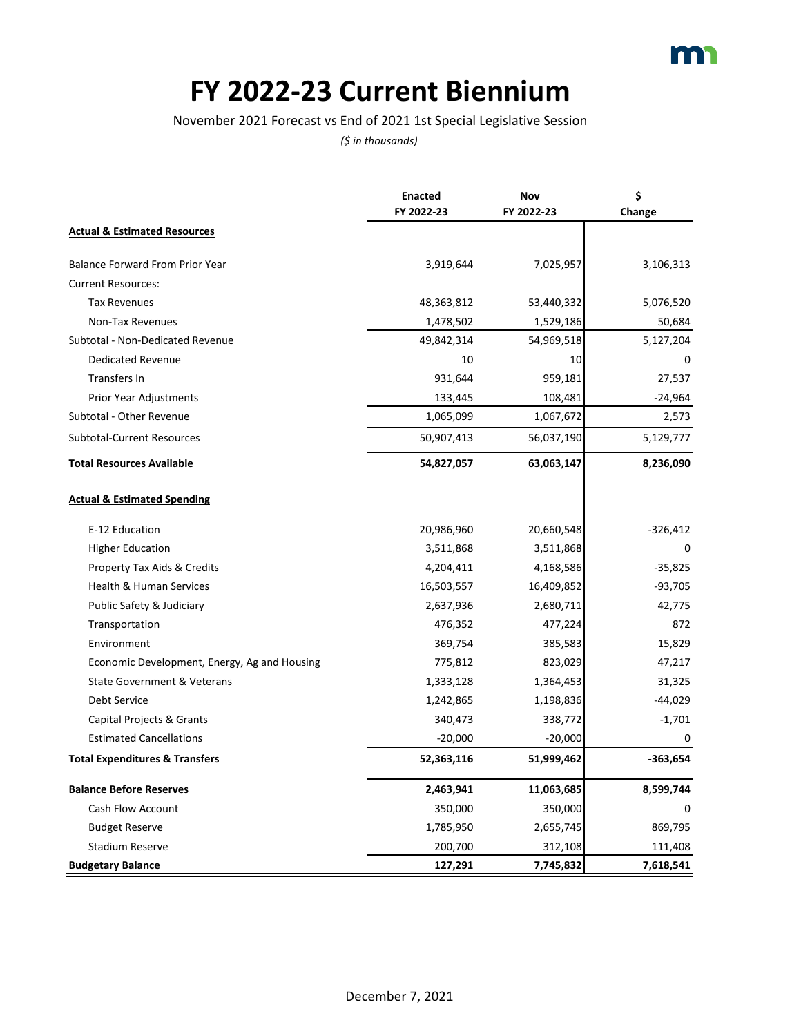## **FY 2022-23 Current Biennium**

November 2021 Forecast vs End of 2021 1st Special Legislative Session

|                                              | <b>Enacted</b><br>FY 2022-23 | Nov<br>FY 2022-23 | \$<br>Change |
|----------------------------------------------|------------------------------|-------------------|--------------|
| <b>Actual &amp; Estimated Resources</b>      |                              |                   |              |
| <b>Balance Forward From Prior Year</b>       | 3,919,644                    | 7,025,957         | 3,106,313    |
| <b>Current Resources:</b>                    |                              |                   |              |
| <b>Tax Revenues</b>                          | 48,363,812                   | 53,440,332        | 5,076,520    |
| Non-Tax Revenues                             | 1,478,502                    | 1,529,186         | 50,684       |
| Subtotal - Non-Dedicated Revenue             | 49,842,314                   | 54,969,518        | 5,127,204    |
| <b>Dedicated Revenue</b>                     | 10                           | 10                | $\Omega$     |
| Transfers In                                 | 931,644                      | 959,181           | 27,537       |
| Prior Year Adjustments                       | 133,445                      | 108,481           | -24,964      |
| Subtotal - Other Revenue                     | 1,065,099                    | 1,067,672         | 2,573        |
| <b>Subtotal-Current Resources</b>            | 50,907,413                   | 56,037,190        | 5,129,777    |
| <b>Total Resources Available</b>             | 54,827,057                   | 63,063,147        | 8,236,090    |
| <b>Actual &amp; Estimated Spending</b>       |                              |                   |              |
| E-12 Education                               | 20,986,960                   | 20,660,548        | $-326,412$   |
| <b>Higher Education</b>                      | 3,511,868                    | 3,511,868         |              |
| Property Tax Aids & Credits                  | 4,204,411                    | 4,168,586         | $-35,825$    |
| <b>Health &amp; Human Services</b>           | 16,503,557                   | 16,409,852        | $-93,705$    |
| Public Safety & Judiciary                    | 2,637,936                    | 2,680,711         | 42,775       |
| Transportation                               | 476,352                      | 477,224           | 872          |
| Environment                                  | 369,754                      | 385,583           | 15,829       |
| Economic Development, Energy, Ag and Housing | 775,812                      | 823,029           | 47,217       |
| <b>State Government &amp; Veterans</b>       | 1,333,128                    | 1,364,453         | 31,325       |
| <b>Debt Service</b>                          | 1,242,865                    | 1,198,836         | $-44,029$    |
| Capital Projects & Grants                    | 340,473                      | 338,772           | $-1,701$     |
| <b>Estimated Cancellations</b>               | $-20,000$                    | $-20,000$         | 0            |
| <b>Total Expenditures &amp; Transfers</b>    | 52,363,116                   | 51,999,462        | $-363,654$   |
| <b>Balance Before Reserves</b>               | 2,463,941                    | 11,063,685        | 8,599,744    |
| Cash Flow Account                            | 350,000                      | 350,000           | 0            |
| <b>Budget Reserve</b>                        | 1,785,950                    | 2,655,745         | 869,795      |
| <b>Stadium Reserve</b>                       | 200,700                      | 312,108           | 111,408      |
| <b>Budgetary Balance</b>                     | 127,291                      | 7,745,832         | 7,618,541    |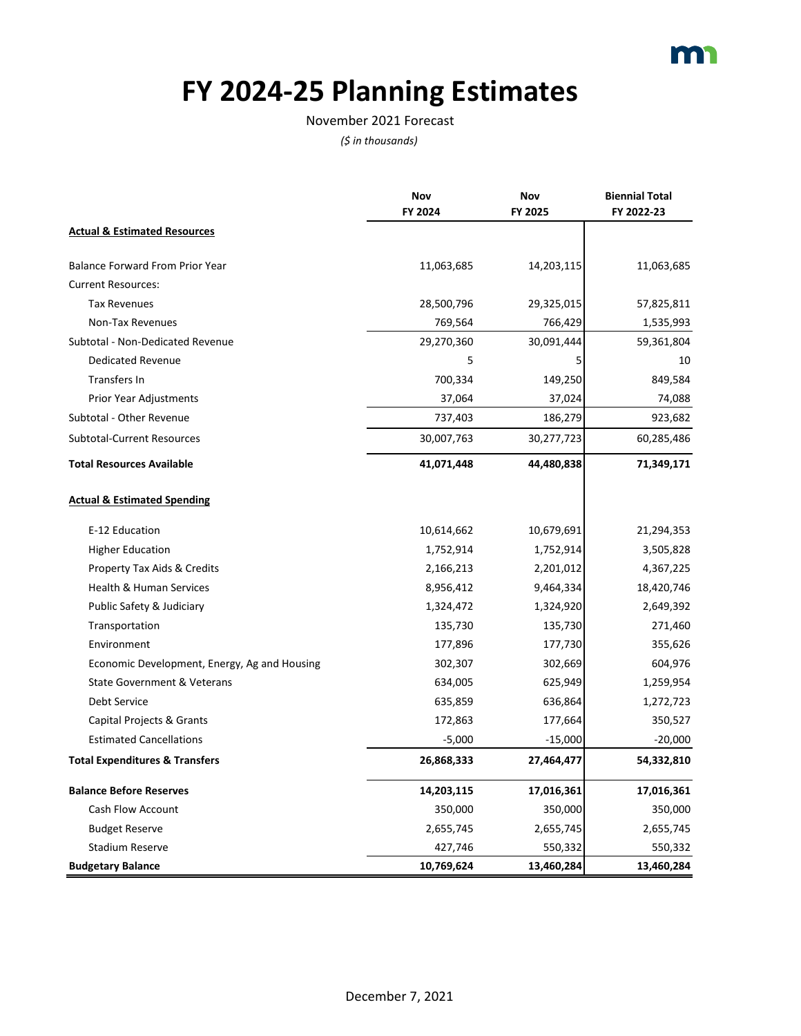

# **FY 2024-25 Planning Estimates**

#### November 2021 Forecast

|                                              | Nov        | Nov        | <b>Biennial Total</b> |
|----------------------------------------------|------------|------------|-----------------------|
|                                              | FY 2024    | FY 2025    | FY 2022-23            |
| <b>Actual &amp; Estimated Resources</b>      |            |            |                       |
| <b>Balance Forward From Prior Year</b>       | 11,063,685 | 14,203,115 | 11,063,685            |
| <b>Current Resources:</b>                    |            |            |                       |
| <b>Tax Revenues</b>                          | 28,500,796 | 29,325,015 | 57,825,811            |
| Non-Tax Revenues                             | 769,564    | 766,429    | 1,535,993             |
| Subtotal - Non-Dedicated Revenue             | 29,270,360 | 30,091,444 | 59,361,804            |
| <b>Dedicated Revenue</b>                     | 5          | 5          | 10                    |
| Transfers In                                 | 700,334    | 149,250    | 849,584               |
| Prior Year Adjustments                       | 37,064     | 37,024     | 74,088                |
| Subtotal - Other Revenue                     | 737,403    | 186,279    | 923,682               |
| <b>Subtotal-Current Resources</b>            | 30,007,763 | 30,277,723 | 60,285,486            |
| <b>Total Resources Available</b>             | 41,071,448 | 44,480,838 | 71,349,171            |
| <b>Actual &amp; Estimated Spending</b>       |            |            |                       |
| E-12 Education                               | 10,614,662 | 10,679,691 | 21,294,353            |
| <b>Higher Education</b>                      | 1,752,914  | 1,752,914  | 3,505,828             |
| Property Tax Aids & Credits                  | 2,166,213  | 2,201,012  | 4,367,225             |
| Health & Human Services                      | 8,956,412  | 9,464,334  | 18,420,746            |
| Public Safety & Judiciary                    | 1,324,472  | 1,324,920  | 2,649,392             |
| Transportation                               | 135,730    | 135,730    | 271,460               |
| Environment                                  | 177,896    | 177,730    | 355,626               |
| Economic Development, Energy, Ag and Housing | 302,307    | 302,669    | 604,976               |
| State Government & Veterans                  | 634,005    | 625,949    | 1,259,954             |
| Debt Service                                 | 635,859    | 636,864    | 1,272,723             |
| Capital Projects & Grants                    | 172,863    | 177,664    | 350,527               |
| <b>Estimated Cancellations</b>               | $-5,000$   | $-15,000$  | $-20,000$             |
| <b>Total Expenditures &amp; Transfers</b>    | 26,868,333 | 27,464,477 | 54,332,810            |
| <b>Balance Before Reserves</b>               | 14,203,115 | 17,016,361 | 17,016,361            |
| Cash Flow Account                            | 350,000    | 350,000    | 350,000               |
| <b>Budget Reserve</b>                        | 2,655,745  | 2,655,745  | 2,655,745             |
| <b>Stadium Reserve</b>                       | 427,746    | 550,332    | 550,332               |
| <b>Budgetary Balance</b>                     | 10,769,624 | 13,460,284 | 13,460,284            |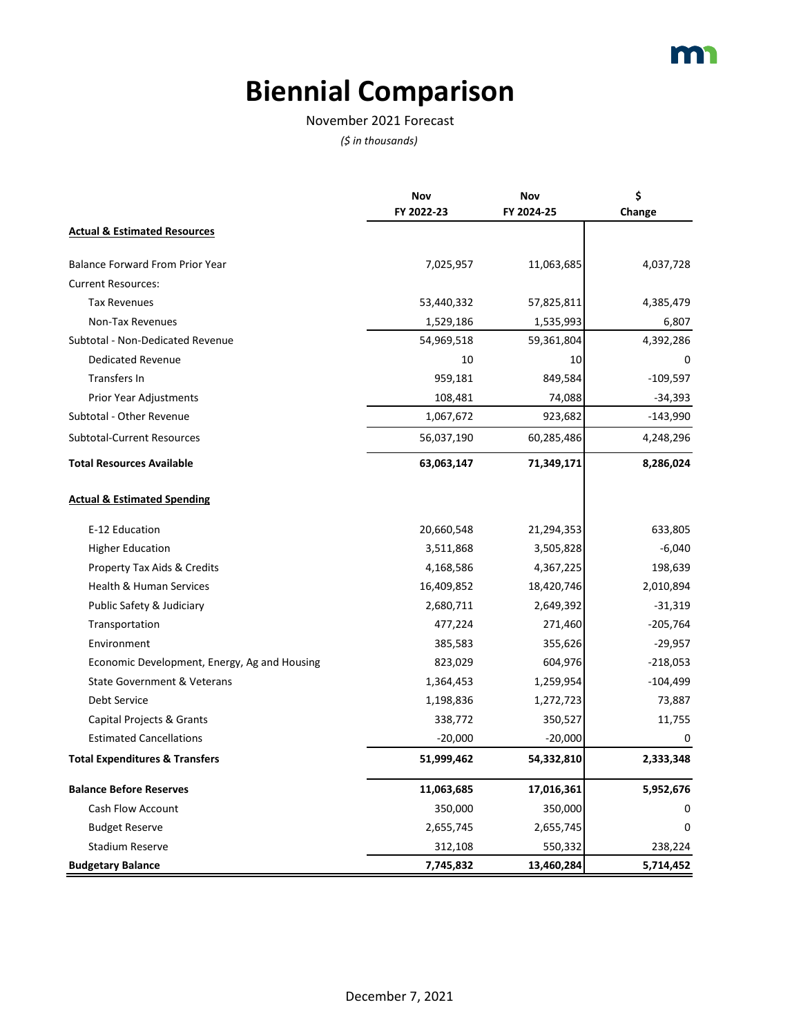# **Biennial Comparison**

#### November 2021 Forecast

|                                              | Nov        | Nov        | \$         |
|----------------------------------------------|------------|------------|------------|
|                                              | FY 2022-23 | FY 2024-25 | Change     |
| <b>Actual &amp; Estimated Resources</b>      |            |            |            |
| Balance Forward From Prior Year              | 7,025,957  | 11,063,685 | 4,037,728  |
| <b>Current Resources:</b>                    |            |            |            |
| <b>Tax Revenues</b>                          | 53,440,332 | 57,825,811 | 4,385,479  |
| Non-Tax Revenues                             | 1,529,186  | 1,535,993  | 6,807      |
| Subtotal - Non-Dedicated Revenue             | 54,969,518 | 59,361,804 | 4,392,286  |
| <b>Dedicated Revenue</b>                     | 10         | 10         | 0          |
| Transfers In                                 | 959,181    | 849,584    | $-109,597$ |
| <b>Prior Year Adjustments</b>                | 108,481    | 74,088     | -34,393    |
| Subtotal - Other Revenue                     | 1,067,672  | 923,682    | $-143,990$ |
| <b>Subtotal-Current Resources</b>            | 56,037,190 | 60,285,486 | 4,248,296  |
| <b>Total Resources Available</b>             | 63,063,147 | 71,349,171 | 8,286,024  |
| <b>Actual &amp; Estimated Spending</b>       |            |            |            |
| E-12 Education                               | 20,660,548 | 21,294,353 | 633,805    |
| <b>Higher Education</b>                      | 3,511,868  | 3,505,828  | $-6,040$   |
| Property Tax Aids & Credits                  | 4,168,586  | 4,367,225  | 198,639    |
| <b>Health &amp; Human Services</b>           | 16,409,852 | 18,420,746 | 2,010,894  |
| Public Safety & Judiciary                    | 2,680,711  | 2,649,392  | $-31,319$  |
| Transportation                               | 477,224    | 271,460    | $-205,764$ |
| Environment                                  | 385,583    | 355,626    | $-29,957$  |
| Economic Development, Energy, Ag and Housing | 823,029    | 604,976    | $-218,053$ |
| State Government & Veterans                  | 1,364,453  | 1,259,954  | $-104,499$ |
| Debt Service                                 | 1,198,836  | 1,272,723  | 73,887     |
| Capital Projects & Grants                    | 338,772    | 350,527    | 11,755     |
| <b>Estimated Cancellations</b>               | $-20,000$  | $-20,000$  | 0          |
| <b>Total Expenditures &amp; Transfers</b>    | 51,999,462 | 54,332,810 | 2,333,348  |
| <b>Balance Before Reserves</b>               | 11,063,685 | 17,016,361 | 5,952,676  |
| Cash Flow Account                            | 350,000    | 350,000    | 0          |
| <b>Budget Reserve</b>                        | 2,655,745  | 2,655,745  | 0          |
| <b>Stadium Reserve</b>                       | 312,108    | 550,332    | 238,224    |
| <b>Budgetary Balance</b>                     | 7,745,832  | 13,460,284 | 5,714,452  |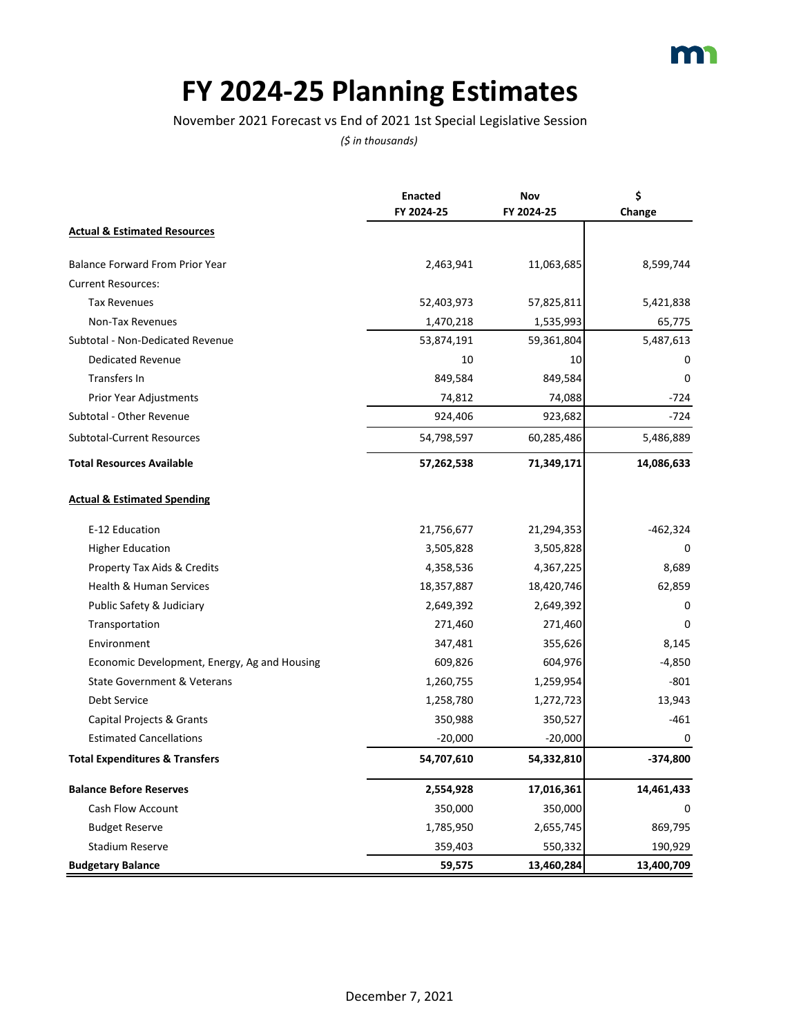### **FY 2024-25 Planning Estimates**

November 2021 Forecast vs End of 2021 1st Special Legislative Session

|                                              | <b>Enacted</b> | Nov        | \$         |
|----------------------------------------------|----------------|------------|------------|
|                                              | FY 2024-25     | FY 2024-25 | Change     |
| <b>Actual &amp; Estimated Resources</b>      |                |            |            |
| Balance Forward From Prior Year              | 2,463,941      | 11,063,685 | 8,599,744  |
| <b>Current Resources:</b>                    |                |            |            |
| <b>Tax Revenues</b>                          | 52,403,973     | 57,825,811 | 5,421,838  |
| Non-Tax Revenues                             | 1,470,218      | 1,535,993  | 65,775     |
| Subtotal - Non-Dedicated Revenue             | 53,874,191     | 59,361,804 | 5,487,613  |
| <b>Dedicated Revenue</b>                     | 10             | 10         | 0          |
| Transfers In                                 | 849,584        | 849,584    | 0          |
| Prior Year Adjustments                       | 74,812         | 74,088     | $-724$     |
| Subtotal - Other Revenue                     | 924,406        | 923,682    | $-724$     |
| <b>Subtotal-Current Resources</b>            | 54,798,597     | 60,285,486 | 5,486,889  |
| <b>Total Resources Available</b>             | 57,262,538     | 71,349,171 | 14,086,633 |
| <b>Actual &amp; Estimated Spending</b>       |                |            |            |
| E-12 Education                               | 21,756,677     | 21,294,353 | -462,324   |
| <b>Higher Education</b>                      | 3,505,828      | 3,505,828  |            |
| Property Tax Aids & Credits                  | 4,358,536      | 4,367,225  | 8,689      |
| Health & Human Services                      | 18,357,887     | 18,420,746 | 62,859     |
| Public Safety & Judiciary                    | 2,649,392      | 2,649,392  | 0          |
| Transportation                               | 271,460        | 271,460    | 0          |
| Environment                                  | 347,481        | 355,626    | 8,145      |
| Economic Development, Energy, Ag and Housing | 609,826        | 604,976    | $-4,850$   |
| State Government & Veterans                  | 1,260,755      | 1,259,954  | $-801$     |
| Debt Service                                 | 1,258,780      | 1,272,723  | 13,943     |
| Capital Projects & Grants                    | 350,988        | 350,527    | $-461$     |
| <b>Estimated Cancellations</b>               | $-20,000$      | $-20,000$  | 0          |
| <b>Total Expenditures &amp; Transfers</b>    | 54,707,610     | 54,332,810 | $-374,800$ |
| <b>Balance Before Reserves</b>               | 2,554,928      | 17,016,361 | 14,461,433 |
| Cash Flow Account                            | 350,000        | 350,000    | 0          |
| <b>Budget Reserve</b>                        | 1,785,950      | 2,655,745  | 869,795    |
| <b>Stadium Reserve</b>                       | 359,403        | 550,332    | 190,929    |
| <b>Budgetary Balance</b>                     | 59,575         | 13,460,284 | 13,400,709 |